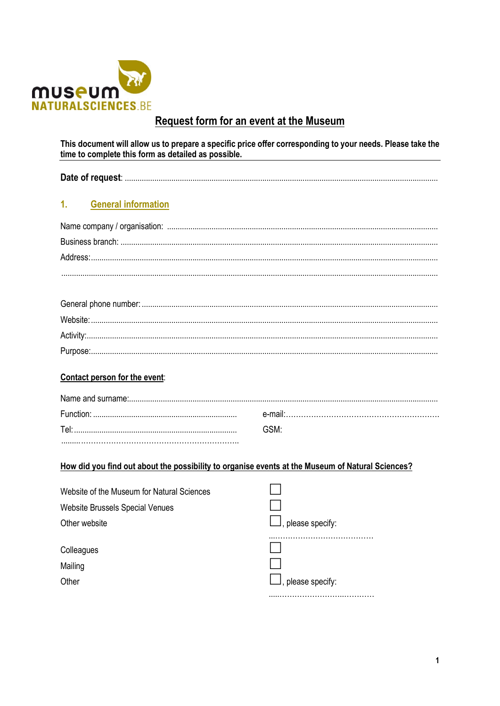

# **Request form for an event at the Museum**

This document will allow us to prepare a specific price offer corresponding to your needs. Please take the time to complete this form as detailed as possible.

|--|

#### $1<sub>1</sub>$ **General information**

## Contact person for the event:

|     | ≏-maii∶ |  |  |
|-----|---------|--|--|
| امΤ |         |  |  |
|     |         |  |  |

## How did you find out about the possibility to organise events at the Museum of Natural Sciences?

| Website of the Museum for Natural Sciences |                                |
|--------------------------------------------|--------------------------------|
| <b>Website Brussels Special Venues</b>     |                                |
| Other website                              | $\mathsf{I}$ , please specify: |
| Colleagues                                 |                                |
| Mailing                                    |                                |
| Other                                      | $\mathsf{J},$ please specify:  |
|                                            |                                |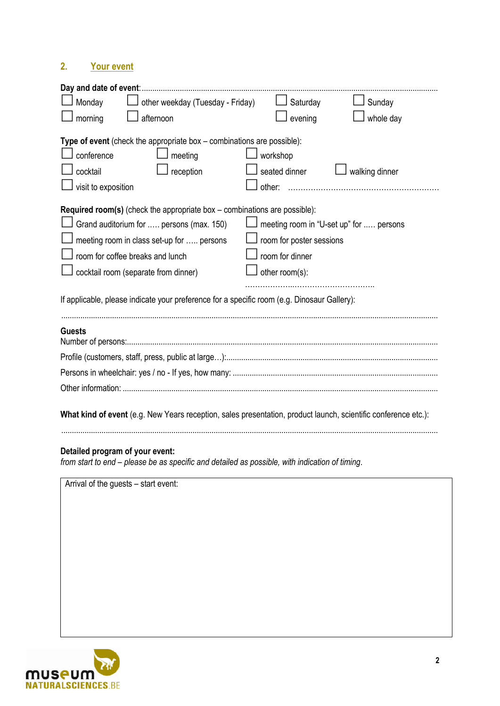# **2. Your event**

| Day and date of event:                                                                                                                                                                                                                                                                                                                                 |                                                                                                          |  |  |  |
|--------------------------------------------------------------------------------------------------------------------------------------------------------------------------------------------------------------------------------------------------------------------------------------------------------------------------------------------------------|----------------------------------------------------------------------------------------------------------|--|--|--|
| other weekday (Tuesday - Friday)<br>Monday                                                                                                                                                                                                                                                                                                             | Saturday<br>Sunday                                                                                       |  |  |  |
| morning<br>afternoon                                                                                                                                                                                                                                                                                                                                   | evening<br>whole day                                                                                     |  |  |  |
| Type of event (check the appropriate box $-$ combinations are possible):                                                                                                                                                                                                                                                                               |                                                                                                          |  |  |  |
| conference<br>meeting                                                                                                                                                                                                                                                                                                                                  | workshop                                                                                                 |  |  |  |
| cocktail<br>reception                                                                                                                                                                                                                                                                                                                                  | seated dinner<br>walking dinner                                                                          |  |  |  |
| visit to exposition                                                                                                                                                                                                                                                                                                                                    | other:                                                                                                   |  |  |  |
| <b>Required room(s)</b> (check the appropriate box $-$ combinations are possible):<br>Grand auditorium for  persons (max. 150)<br>meeting room in class set-up for  persons<br>room for coffee breaks and lunch<br>cocktail room (separate from dinner)<br>If applicable, please indicate your preference for a specific room (e.g. Dinosaur Gallery): | meeting room in "U-set up" for  persons<br>room for poster sessions<br>room for dinner<br>other room(s): |  |  |  |
| <b>Guests</b>                                                                                                                                                                                                                                                                                                                                          |                                                                                                          |  |  |  |
|                                                                                                                                                                                                                                                                                                                                                        |                                                                                                          |  |  |  |
|                                                                                                                                                                                                                                                                                                                                                        |                                                                                                          |  |  |  |
|                                                                                                                                                                                                                                                                                                                                                        |                                                                                                          |  |  |  |
| What kind of event (e.g. New Years reception, sales presentation, product launch, scientific conference etc.):                                                                                                                                                                                                                                         |                                                                                                          |  |  |  |

## **Detailed program of your event:**

*from start to end – please be as specific and detailed as possible, with indication of timing*.

Arrival of the guests – start event:

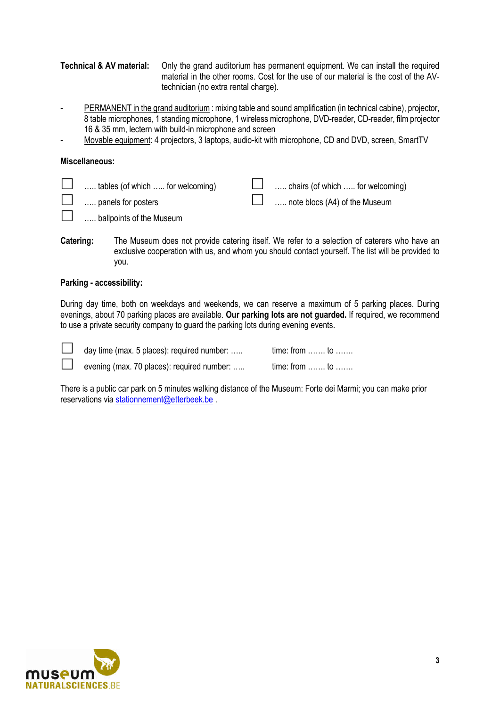**Technical & AV material:** Only the grand auditorium has permanent equipment. We can install the required material in the other rooms. Cost for the use of our material is the cost of the AVtechnician (no extra rental charge).

- PERMANENT in the grand auditorium : mixing table and sound amplification (in technical cabine), projector, 8 table microphones, 1 standing microphone, 1 wireless microphone, DVD-reader, CD-reader, film projector 16 & 35 mm, lectern with build-in microphone and screen
- Movable equipment: 4 projectors, 3 laptops, audio-kit with microphone, CD and DVD, screen, SmartTV

#### **Miscellaneous:**

| tables (of which  for welcoming) | $\Box$ chairs (of which  for welcoming) |
|----------------------------------|-----------------------------------------|
| $\Box$ panels for posters        | $\Box$ note blocs (A4) of the Museum    |
|                                  |                                         |

- **L** ..... ballpoints of the Museum
- **Catering:** The Museum does not provide catering itself. We refer to a selection of caterers who have an exclusive cooperation with us, and whom you should contact yourself. The list will be provided to you.

#### **Parking - accessibility:**

During day time, both on weekdays and weekends, we can reserve a maximum of 5 parking places. During evenings, about 70 parking places are available. **Our parking lots are not guarded.** If required, we recommend to use a private security company to guard the parking lots during evening events.

| $\Box$ | day time (max. 5 places): required number: | time: from  to                    |
|--------|--------------------------------------------|-----------------------------------|
|        | evening (max. 70 places): required number: | $time: from \dots \dots to \dots$ |

There is a public car park on 5 minutes walking distance of the Museum: Forte dei Marmi; you can make prior reservations via stationnement@etterbeek.be .